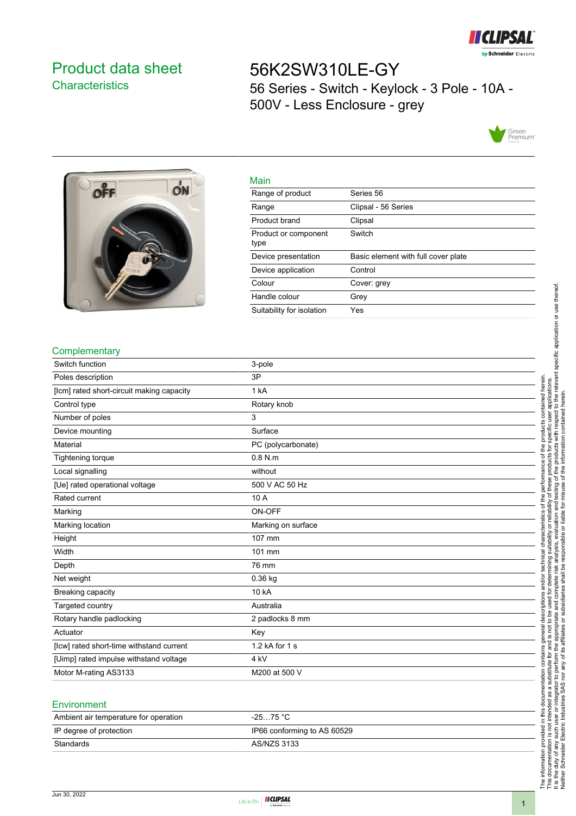

## <span id="page-0-0"></span>Product data sheet **Characteristics**

# 56K2SW310LE-GY 56 Series - Switch - Keylock - 3 Pole - 10A - 500V - Less Enclosure - grey





| Main                         |                                     |
|------------------------------|-------------------------------------|
| Range of product             | Series 56                           |
| Range                        | Clipsal - 56 Series                 |
| Product brand                | Clipsal                             |
| Product or component<br>type | Switch                              |
| Device presentation          | Basic element with full cover plate |
| Device application           | Control                             |
| Colour                       | Cover: grey                         |
| Handle colour                | Grey                                |
| Suitability for isolation    | Yes                                 |

#### **Complementary**

| Switch function                           | 3-pole             |
|-------------------------------------------|--------------------|
| Poles description                         | 3P                 |
| [lcm] rated short-circuit making capacity | 1 kA               |
| Control type                              | Rotary knob        |
| Number of poles                           | 3                  |
| Device mounting                           | Surface            |
| Material                                  | PC (polycarbonate) |
| Tightening torque                         | $0.8$ N.m          |
| Local signalling                          | without            |
| [Ue] rated operational voltage            | 500 V AC 50 Hz     |
| Rated current                             | 10 A               |
| Marking                                   | ON-OFF             |
| Marking location                          | Marking on surface |
| Height                                    | 107 mm             |
| Width                                     | 101 mm             |
| Depth                                     | 76 mm              |
| Net weight                                | 0.36 kg            |
| Breaking capacity                         | 10 kA              |
| Targeted country                          | Australia          |
| Rotary handle padlocking                  | 2 padlocks 8 mm    |
| Actuator                                  | Key                |
| [lcw] rated short-time withstand current  | 1.2 kA for 1 s     |
| [Uimp] rated impulse withstand voltage    | 4 kV               |
| Motor M-rating AS3133                     | M200 at 500 V      |

#### **Environment**

| Ambient air temperature for operation | $-2575 °C$                  |
|---------------------------------------|-----------------------------|
| IP degree of protection               | IP66 conforming to AS 60529 |
| Standards                             | AS/NZS 3133                 |